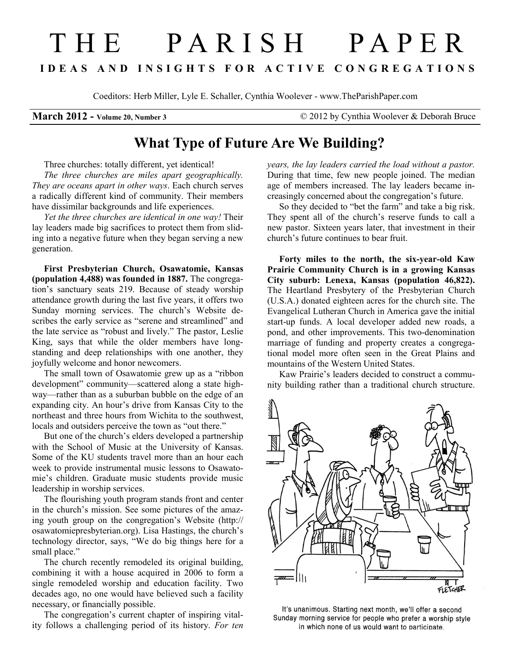## T H E P A R I S H P A P E R I D E A S A N D I N S I G H T S F O R A C T I V E C O N G R E G A T I O N S

Coeditors: Herb Miller, Lyle E. Schaller, Cynthia Woolever - www.TheParishPaper.com

March 2012 - Volume 20, Number 3 © 2012 by Cynthia Woolever & Deborah Bruce

## What Type of Future Are We Building?

Three churches: totally different, yet identical! The three churches are miles apart geographically. They are oceans apart in other ways. Each church serves a radically different kind of community. Their members have dissimilar backgrounds and life experiences.

Yet the three churches are identical in one way! Their lay leaders made big sacrifices to protect them from sliding into a negative future when they began serving a new generation.

First Presbyterian Church, Osawatomie, Kansas (population 4,488) was founded in 1887. The congregation's sanctuary seats 219. Because of steady worship attendance growth during the last five years, it offers two Sunday morning services. The church's Website describes the early service as "serene and streamlined" and the late service as "robust and lively." The pastor, Leslie King, says that while the older members have longstanding and deep relationships with one another, they joyfully welcome and honor newcomers.

The small town of Osawatomie grew up as a "ribbon development" community—scattered along a state highway—rather than as a suburban bubble on the edge of an expanding city. An hour's drive from Kansas City to the northeast and three hours from Wichita to the southwest, locals and outsiders perceive the town as "out there."

But one of the church's elders developed a partnership with the School of Music at the University of Kansas. Some of the KU students travel more than an hour each week to provide instrumental music lessons to Osawatomie's children. Graduate music students provide music leadership in worship services.

The flourishing youth program stands front and center in the church's mission. See some pictures of the amazing youth group on the congregation's Website (http:// osawatomiepresbyterian.org). Lisa Hastings, the church's technology director, says, "We do big things here for a small place."

The church recently remodeled its original building, combining it with a house acquired in 2006 to form a single remodeled worship and education facility. Two decades ago, no one would have believed such a facility necessary, or financially possible.

The congregation's current chapter of inspiring vitality follows a challenging period of its history. For ten years, the lay leaders carried the load without a pastor. During that time, few new people joined. The median age of members increased. The lay leaders became increasingly concerned about the congregation's future.

So they decided to "bet the farm" and take a big risk. They spent all of the church's reserve funds to call a new pastor. Sixteen years later, that investment in their church's future continues to bear fruit.

Forty miles to the north, the six-year-old Kaw Prairie Community Church is in a growing Kansas City suburb: Lenexa, Kansas (population 46,822). The Heartland Presbytery of the Presbyterian Church (U.S.A.) donated eighteen acres for the church site. The Evangelical Lutheran Church in America gave the initial start-up funds. A local developer added new roads, a pond, and other improvements. This two-denomination marriage of funding and property creates a congregational model more often seen in the Great Plains and mountains of the Western United States.

Kaw Prairie's leaders decided to construct a community building rather than a traditional church structure.



It's unanimous. Starting next month, we'll offer a second Sunday morning service for people who prefer a worship style in which none of us would want to participate.